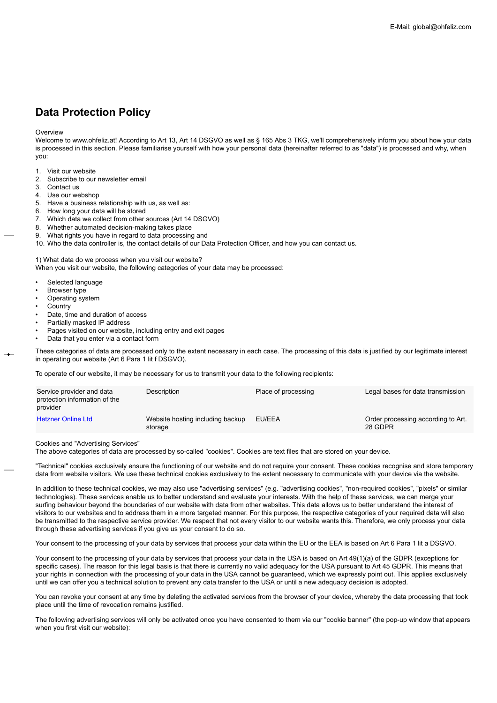# **Data Protection Policy**

#### **Overview**

Welcome to www.ohfeliz.at! According to Art 13, Art 14 DSGVO as well as § 165 Abs 3 TKG, we'll comprehensively inform you about how your data is processed in this section. Please familiarise yourself with how your personal data (hereinafter referred to as "data") is processed and why, when you:

- 1. Visit our website
- 2. Subscribe to our newsletter email
- 3. Contact us
- 4. Use our webshop
- 5. Have a business relationship with us, as well as:
- 6. How long your data will be stored
- 7. Which data we collect from other sources (Art 14 DSGVO)
- 8. Whether automated decision-making takes place
- 9. What rights you have in regard to data processing and
- 10. Who the data controller is, the contact details of our Data Protection Officer, and how you can contact us.

1) What data do we process when you visit our website?

When you visit our website, the following categories of your data may be processed:

- Selected language
- Browser type
- Operating system
- **Country**
- Date, time and duration of access
- Partially masked IP address
- Pages visited on our website, including entry and exit pages
- Data that you enter via a contact form

These categories of data are processed only to the extent necessary in each case. The processing of this data is justified by our legitimate interest in operating our website (Art 6 Para 1 lit f DSGVO).

To operate of our website, it may be necessary for us to transmit your data to the following recipients:

| Service provider and data<br>protection information of the<br>provider | Description                                 | Place of processing | Legal bases for data transmission             |
|------------------------------------------------------------------------|---------------------------------------------|---------------------|-----------------------------------------------|
| <b>Hetzner Online Ltd</b>                                              | Website hosting including backup<br>storage | EU/EEA              | Order processing according to Art.<br>28 GDPR |

Cookies and "Advertising Services"

The above categories of data are processed by so-called "cookies". Cookies are text files that are stored on your device.

"Technical" cookies exclusively ensure the functioning of our website and do not require your consent. These cookies recognise and store temporary data from website visitors. We use these technical cookies exclusively to the extent necessary to communicate with your device via the website.

In addition to these technical cookies, we may also use "advertising services" (e.g. "advertising cookies", "non-required cookies", "pixels" or similar technologies). These services enable us to better understand and evaluate your interests. With the help of these services, we can merge your surfing behaviour beyond the boundaries of our website with data from other websites. This data allows us to better understand the interest of visitors to our websites and to address them in a more targeted manner. For this purpose, the respective categories of your required data will also be transmitted to the respective service provider. We respect that not every visitor to our website wants this. Therefore, we only process your data through these advertising services if you give us your consent to do so.

Your consent to the processing of your data by services that process your data within the EU or the EEA is based on Art 6 Para 1 lit a DSGVO.

Your consent to the processing of your data by services that process your data in the USA is based on Art 49(1)(a) of the GDPR (exceptions for specific cases). The reason for this legal basis is that there is currently no valid adequacy for the USA pursuant to Art 45 GDPR. This means that your rights in connection with the processing of your data in the USA cannot be guaranteed, which we expressly point out. This applies exclusively until we can offer you a technical solution to prevent any data transfer to the USA or until a new adequacy decision is adopted.

You can revoke your consent at any time by deleting the activated services from the browser of your device, whereby the data processing that took place until the time of revocation remains justified.

The following advertising services will only be activated once you have consented to them via our "cookie banner" (the pop-up window that appears when you first visit our website):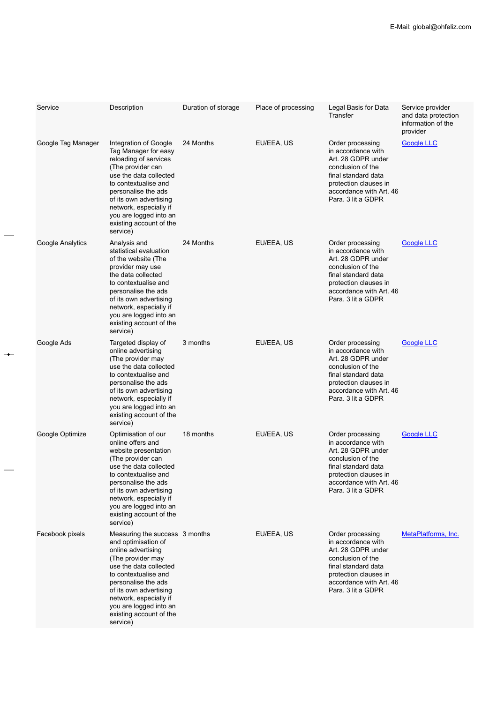| Service            | Description                                                                                                                                                                                                                                                                                    | Duration of storage | Place of processing | Legal Basis for Data<br>Transfer                                                                                                                                                   | Service provider<br>and data protection<br>information of the |
|--------------------|------------------------------------------------------------------------------------------------------------------------------------------------------------------------------------------------------------------------------------------------------------------------------------------------|---------------------|---------------------|------------------------------------------------------------------------------------------------------------------------------------------------------------------------------------|---------------------------------------------------------------|
| Google Tag Manager | Integration of Google<br>Tag Manager for easy<br>reloading of services<br>(The provider can<br>use the data collected<br>to contextualise and<br>personalise the ads<br>of its own advertising<br>network, especially if<br>you are logged into an<br>existing account of the<br>service)      | 24 Months           | EU/EEA, US          | Order processing<br>in accordance with<br>Art. 28 GDPR under<br>conclusion of the<br>final standard data<br>protection clauses in<br>accordance with Art. 46<br>Para. 3 lit a GDPR | provider<br><b>Google LLC</b>                                 |
| Google Analytics   | Analysis and<br>statistical evaluation<br>of the website (The<br>provider may use<br>the data collected<br>to contextualise and<br>personalise the ads<br>of its own advertising<br>network, especially if<br>you are logged into an<br>existing account of the<br>service)                    | 24 Months           | EU/EEA, US          | Order processing<br>in accordance with<br>Art. 28 GDPR under<br>conclusion of the<br>final standard data<br>protection clauses in<br>accordance with Art. 46<br>Para. 3 lit a GDPR | <b>Google LLC</b>                                             |
| Google Ads         | Targeted display of<br>online advertising<br>(The provider may<br>use the data collected<br>to contextualise and<br>personalise the ads<br>of its own advertising<br>network, especially if<br>you are logged into an<br>existing account of the<br>service)                                   | 3 months            | EU/EEA, US          | Order processing<br>in accordance with<br>Art. 28 GDPR under<br>conclusion of the<br>final standard data<br>protection clauses in<br>accordance with Art. 46<br>Para. 3 lit a GDPR | Google LLC                                                    |
| Google Optimize    | Optimisation of our<br>online offers and<br>website presentation<br>(The provider can<br>use the data collected<br>to contextualise and<br>personalise the ads<br>of its own advertising<br>network, especially if<br>you are logged into an<br>existing account of the<br>service)            | 18 months           | EU/EEA, US          | Order processing<br>in accordance with<br>Art. 28 GDPR under<br>conclusion of the<br>final standard data<br>protection clauses in<br>accordance with Art. 46<br>Para. 3 lit a GDPR | Google LLC                                                    |
| Facebook pixels    | Measuring the success 3 months<br>and optimisation of<br>online advertising<br>(The provider may<br>use the data collected<br>to contextualise and<br>personalise the ads<br>of its own advertising<br>network, especially if<br>you are logged into an<br>existing account of the<br>service) |                     | EU/EEA, US          | Order processing<br>in accordance with<br>Art. 28 GDPR under<br>conclusion of the<br>final standard data<br>protection clauses in<br>accordance with Art. 46<br>Para. 3 lit a GDPR | MetaPlatforms, Inc.                                           |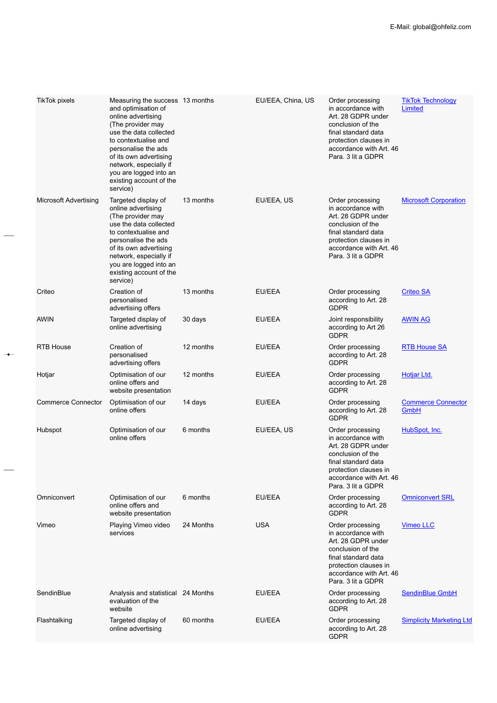| <b>TikTok pixels</b>         | Measuring the success 13 months<br>and optimisation of<br>online advertising<br>(The provider may<br>use the data collected<br>to contextualise and<br>personalise the ads<br>of its own advertising<br>network, especially if<br>you are logged into an<br>existing account of the<br>service) |           | EU/EEA, China, US | Order processing<br>in accordance with<br>Art. 28 GDPR under<br>conclusion of the<br>final standard data<br>protection clauses in<br>accordance with Art. 46<br>Para, 3 lit a GDPR | <b>TikTok Technology</b><br>Limited      |
|------------------------------|-------------------------------------------------------------------------------------------------------------------------------------------------------------------------------------------------------------------------------------------------------------------------------------------------|-----------|-------------------|------------------------------------------------------------------------------------------------------------------------------------------------------------------------------------|------------------------------------------|
| <b>Microsoft Advertising</b> | Targeted display of<br>online advertising<br>(The provider may<br>use the data collected<br>to contextualise and<br>personalise the ads<br>of its own advertising<br>network, especially if<br>you are logged into an<br>existing account of the<br>service)                                    | 13 months | EU/EEA, US        | Order processing<br>in accordance with<br>Art. 28 GDPR under<br>conclusion of the<br>final standard data<br>protection clauses in<br>accordance with Art. 46<br>Para, 3 lit a GDPR | <b>Microsoft Corporation</b>             |
| Criteo                       | Creation of<br>personalised<br>advertising offers                                                                                                                                                                                                                                               | 13 months | EU/EEA            | Order processing<br>according to Art. 28<br><b>GDPR</b>                                                                                                                            | <b>Criteo SA</b>                         |
| <b>AWIN</b>                  | Targeted display of<br>online advertising                                                                                                                                                                                                                                                       | 30 days   | EU/EEA            | Joint responsibility<br>according to Art 26<br><b>GDPR</b>                                                                                                                         | <b>AWIN AG</b>                           |
| <b>RTB House</b>             | Creation of<br>personalised<br>advertising offers                                                                                                                                                                                                                                               | 12 months | EU/EEA            | Order processing<br>according to Art. 28<br><b>GDPR</b>                                                                                                                            | <b>RTB House SA</b>                      |
| Hotjar                       | Optimisation of our<br>online offers and<br>website presentation                                                                                                                                                                                                                                | 12 months | EU/EEA            | Order processing<br>according to Art. 28<br><b>GDPR</b>                                                                                                                            | Hotjar Ltd.                              |
| <b>Commerce Connector</b>    | Optimisation of our<br>online offers                                                                                                                                                                                                                                                            | 14 days   | EU/EEA            | Order processing<br>according to Art. 28<br><b>GDPR</b>                                                                                                                            | <b>Commerce Connector</b><br><b>GmbH</b> |
| Hubspot                      | Optimisation of our<br>online offers                                                                                                                                                                                                                                                            | 6 months  | EU/EEA, US        | Order processing<br>in accordance with<br>Art. 28 GDPR under<br>conclusion of the<br>final standard data<br>protection clauses in<br>accordance with Art. 46<br>Para, 3 lit a GDPR | HubSpot, Inc.                            |
| Omniconvert                  | Optimisation of our<br>online offers and<br>website presentation                                                                                                                                                                                                                                | 6 months  | EU/EEA            | Order processing<br>according to Art. 28<br><b>GDPR</b>                                                                                                                            | <b>Omniconvert SRL</b>                   |
| Vimeo                        | Playing Vimeo video<br>services                                                                                                                                                                                                                                                                 | 24 Months | <b>USA</b>        | Order processing<br>in accordance with<br>Art. 28 GDPR under<br>conclusion of the<br>final standard data<br>protection clauses in<br>accordance with Art. 46<br>Para, 3 lit a GDPR | Vimeo LLC                                |
| SendinBlue                   | Analysis and statistical 24 Months<br>evaluation of the<br>website                                                                                                                                                                                                                              |           | EU/EEA            | Order processing<br>according to Art. 28<br><b>GDPR</b>                                                                                                                            | <b>SendinBlue GmbH</b>                   |
| Flashtalking                 | Targeted display of<br>online advertising                                                                                                                                                                                                                                                       | 60 months | EU/EEA            | Order processing<br>according to Art. 28<br><b>GDPR</b>                                                                                                                            | <b>Simplicity Marketing Ltd</b>          |

 $\rightarrow$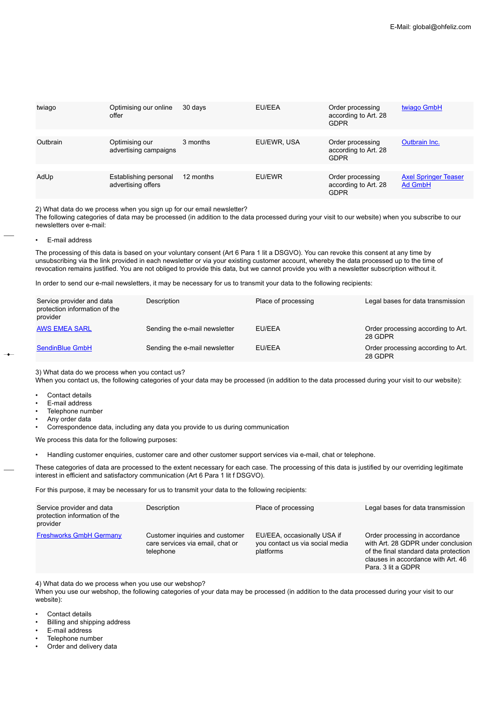| twiago   | Optimising our online<br>offer              | 30 days   | EU/EEA      | Order processing<br>according to Art. 28<br><b>GDPR</b> | twiago GmbH                            |
|----------|---------------------------------------------|-----------|-------------|---------------------------------------------------------|----------------------------------------|
| Outbrain | Optimising our<br>advertising campaigns     | 3 months  | EU/EWR, USA | Order processing<br>according to Art. 28<br><b>GDPR</b> | Outbrain Inc.                          |
| AdUp     | Establishing personal<br>advertising offers | 12 months | EU/EWR      | Order processing<br>according to Art. 28<br><b>GDPR</b> | <b>Axel Springer Teaser</b><br>Ad GmbH |

2) What data do we process when you sign up for our email newsletter?

The following categories of data may be processed (in addition to the data processed during your visit to our website) when you subscribe to our newsletters over e-mail:

• E-mail address

The processing of this data is based on your voluntary consent (Art 6 Para 1 lit a DSGVO). You can revoke this consent at any time by unsubscribing via the link provided in each newsletter or via your existing customer account, whereby the data processed up to the time of revocation remains justified. You are not obliged to provide this data, but we cannot provide you with a newsletter subscription without it.

In order to send our e-mail newsletters, it may be necessary for us to transmit your data to the following recipients:

| Service provider and data<br>protection information of the<br>provider | Description                   | Place of processing | Legal bases for data transmission             |
|------------------------------------------------------------------------|-------------------------------|---------------------|-----------------------------------------------|
| <b>AWS EMEA SARL</b>                                                   | Sending the e-mail newsletter | EU/EEA              | Order processing according to Art.<br>28 GDPR |
| SendinBlue GmbH                                                        | Sending the e-mail newsletter | EU/EEA              | Order processing according to Art.<br>28 GDPR |

3) What data do we process when you contact us?

When you contact us, the following categories of your data may be processed (in addition to the data processed during your visit to our website):

- Contact details
- E-mail address
- Telephone number
- Any order data
- Correspondence data, including any data you provide to us during communication

We process this data for the following purposes:

• Handling customer enquiries, customer care and other customer support services via e-mail, chat or telephone.

These categories of data are processed to the extent necessary for each case. The processing of this data is justified by our overriding legitimate interest in efficient and satisfactory communication (Art 6 Para 1 lit f DSGVO).

For this purpose, it may be necessary for us to transmit your data to the following recipients:

| Service provider and data<br>protection information of the<br>provider | Description                                                                      | Place of processing                                                         | Legal bases for data transmission                                                                                                                                         |
|------------------------------------------------------------------------|----------------------------------------------------------------------------------|-----------------------------------------------------------------------------|---------------------------------------------------------------------------------------------------------------------------------------------------------------------------|
| <b>Freshworks GmbH Germany</b>                                         | Customer inquiries and customer<br>care services via email, chat or<br>telephone | EU/EEA, occasionally USA if<br>you contact us via social media<br>platforms | Order processing in accordance<br>with Art. 28 GDPR under conclusion<br>of the final standard data protection<br>clauses in accordance with Art. 46<br>Para, 3 lit a GDPR |

4) What data do we process when you use our webshop?

When you use our webshop, the following categories of your data may be processed (in addition to the data processed during your visit to our website):

- Contact details
- Billing and shipping address
- E-mail address
- Telephone number
- Order and delivery data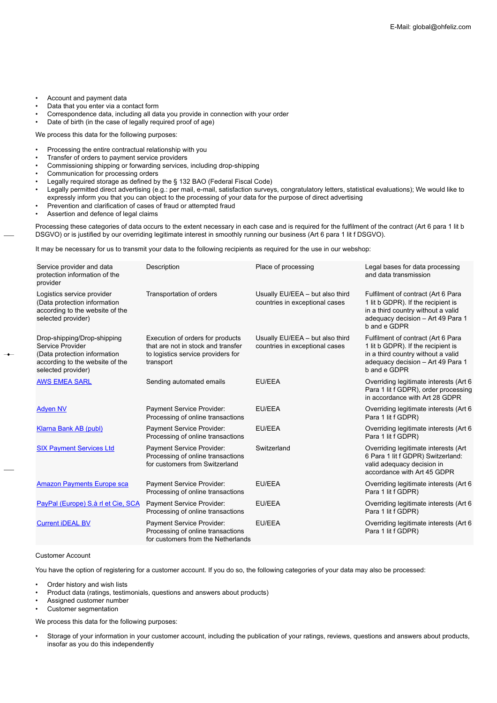- Account and payment data
- Data that you enter via a contact form
- Correspondence data, including all data you provide in connection with your order<br>• Date of birth (in the case of legally required proof of age)
- Date of birth (in the case of legally required proof of age)

We process this data for the following purposes:

- Processing the entire contractual relationship with you
- Transfer of orders to payment service providers
- Commissioning shipping or forwarding services, including drop-shipping
- Communication for processing orders
- Legally required storage as defined by the § 132 BAO (Federal Fiscal Code)
- Legally permitted direct advertising (e.g.: per mail, e-mail, satisfaction surveys, congratulatory letters, statistical evaluations); We would like to expressly inform you that you can object to the processing of your data for the purpose of direct advertising
- Prevention and clarification of cases of fraud or attempted fraud
- Assertion and defence of legal claims

Processing these categories of data occurs to the extent necessary in each case and is required for the fulfilment of the contract (Art 6 para 1 lit b DSGVO) or is justified by our overriding legitimate interest in smoothly running our business (Art 6 para 1 lit f DSGVO).

It may be necessary for us to transmit your data to the following recipients as required for the use in our webshop:

| Service provider and data<br>protection information of the<br>provider                                                                   | Description                                                                                                               | Place of processing                                               | Legal bases for data processing<br>and data transmission                                                                                                            |
|------------------------------------------------------------------------------------------------------------------------------------------|---------------------------------------------------------------------------------------------------------------------------|-------------------------------------------------------------------|---------------------------------------------------------------------------------------------------------------------------------------------------------------------|
| Logistics service provider<br>(Data protection information<br>according to the website of the<br>selected provider)                      | Transportation of orders                                                                                                  | Usually EU/EEA - but also third<br>countries in exceptional cases | Fulfilment of contract (Art 6 Para<br>1 lit b GDPR). If the recipient is<br>in a third country without a valid<br>adequacy decision - Art 49 Para 1<br>b and e GDPR |
| Drop-shipping/Drop-shipping<br>Service Provider<br>(Data protection information<br>according to the website of the<br>selected provider) | Execution of orders for products<br>that are not in stock and transfer<br>to logistics service providers for<br>transport | Usually EU/EEA - but also third<br>countries in exceptional cases | Fulfilment of contract (Art 6 Para<br>1 lit b GDPR). If the recipient is<br>in a third country without a valid<br>adequacy decision - Art 49 Para 1<br>b and e GDPR |
| <b>AWS EMEA SARL</b>                                                                                                                     | Sending automated emails                                                                                                  | EU/EEA                                                            | Overriding legitimate interests (Art 6<br>Para 1 lit f GDPR), order processing<br>in accordance with Art 28 GDPR                                                    |
| <b>Adven NV</b>                                                                                                                          | Payment Service Provider:<br>Processing of online transactions                                                            | EU/EEA                                                            | Overriding legitimate interests (Art 6)<br>Para 1 lit f GDPR)                                                                                                       |
| Klarna Bank AB (publ)                                                                                                                    | Payment Service Provider:<br>Processing of online transactions                                                            | EU/EEA                                                            | Overriding legitimate interests (Art 6)<br>Para 1 lit f GDPR)                                                                                                       |
| <b>SIX Payment Services Ltd</b>                                                                                                          | Payment Service Provider:<br>Processing of online transactions<br>for customers from Switzerland                          | Switzerland                                                       | Overriding legitimate interests (Art<br>6 Para 1 lit f GDPR) Switzerland:<br>valid adequacy decision in<br>accordance with Art 45 GDPR                              |
| <b>Amazon Payments Europe sca</b>                                                                                                        | Payment Service Provider:<br>Processing of online transactions                                                            | EU/EEA                                                            | Overriding legitimate interests (Art 6<br>Para 1 lit f GDPR)                                                                                                        |
| PayPal (Europe) S.à rl et Cie, SCA                                                                                                       | Payment Service Provider:<br>Processing of online transactions                                                            | EU/EEA                                                            | Overriding legitimate interests (Art 6)<br>Para 1 lit f GDPR)                                                                                                       |
| <b>Current iDEAL BV</b>                                                                                                                  | Payment Service Provider:<br>Processing of online transactions<br>for customers from the Netherlands                      | EU/EEA                                                            | Overriding legitimate interests (Art 6)<br>Para 1 lit f GDPR)                                                                                                       |

## Customer Account

You have the option of registering for a customer account. If you do so, the following categories of your data may also be processed:

- Order history and wish lists
- Product data (ratings, testimonials, questions and answers about products)
- Assigned customer number
- Customer segmentation

We process this data for the following purposes:

• Storage of your information in your customer account, including the publication of your ratings, reviews, questions and answers about products, insofar as you do this independently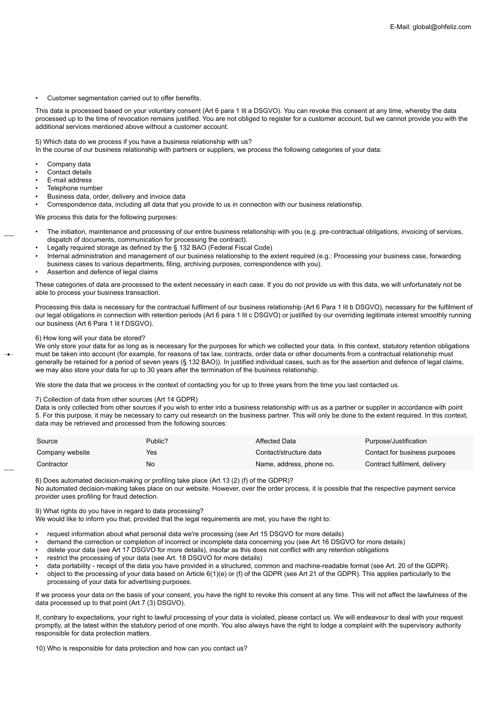Customer segmentation carried out to offer benefits.

This data is processed based on your voluntary consent (Art 6 para 1 lit a DSGVO). You can revoke this consent at any time, whereby the data processed up to the time of revocation remains justified. You are not obliged to register for a customer account, but we cannot provide you with the additional services mentioned above without a customer account.

### 5) Which data do we process if you have a business relationship with us?

In the course of our business relationship with partners or suppliers, we process the following categories of your data:

- Company data
- Contact details
- E-mail address
- Telephone number
- Business data, order, delivery and invoice data

• Correspondence data, including all data that you provide to us in connection with our business relationship.

We process this data for the following purposes:

- The initiation, maintenance and processing of our entire business relationship with you (e.g. pre-contractual obligations, invoicing of services, dispatch of documents, communication for processing the contract).
- Legally required storage as defined by the § 132 BAO (Federal Fiscal Code)
- Internal administration and management of our business relationship to the extent required (e.g.: Processing your business case, forwarding business cases to various departments, filing, archiving purposes, correspondence with you).
- Assertion and defence of legal claims

These categories of data are processed to the extent necessary in each case. If you do not provide us with this data, we will unfortunately not be able to process your business transaction.

Processing this data is necessary for the contractual fulfilment of our business relationship (Art 6 Para 1 lit b DSGVO), necessary for the fulfilment of our legal obligations in connection with retention periods (Art 6 para 1 lit c DSGVO) or justified by our overriding legitimate interest smoothly running our business (Art 6 Para 1 lit f DSGVO).

#### 6) How long will your data be stored?

We only store your data for as long as is necessary for the purposes for which we collected your data. In this context, statutory retention obligations must be taken into account (for example, for reasons of tax law, contracts, order data or other documents from a contractual relationship must generally be retained for a period of seven years (§ 132 BAO)). In justified individual cases, such as for the assertion and defence of legal claims, we may also store your data for up to 30 years after the termination of the business relationship.

We store the data that we process in the context of contacting you for up to three years from the time you last contacted us.

#### 7) Collection of data from other sources (Art 14 GDPR)

Data is only collected from other sources if you wish to enter into a business relationship with us as a partner or supplier in accordance with point 5. For this purpose, it may be necessary to carry out research on the business partner. This will only be done to the extent required. In this context, data may be retrieved and processed from the following sources:

| Source          | Public? | Affected Data            | Purpose/Justification         |
|-----------------|---------|--------------------------|-------------------------------|
| Company website | Yes     | Contact/structure data   | Contact for business purposes |
| Contractor      | No      | Name, address, phone no. | Contract fulfilment, delivery |

8) Does automated decision-making or profiling take place (Art 13 (2) (f) of the GDPR)?

No automated decision-making takes place on our website. However, over the order process, it is possible that the respective payment service provider uses profiling for fraud detection.

9) What rights do you have in regard to data processing?

We would like to inform you that, provided that the legal requirements are met, you have the right to:

- request information about what personal data we're processing (see Art 15 DSGVO for more details)
- demand the correction or completion of incorrect or incomplete data concerning you (see Art 16 DSGVO for more details)
- delete your data (see Art 17 DSGVO for more details), insofar as this does not conflict with any retention obligations
- restrict the processing of your data (see Art. 18 DSGVO for more details)
- data portability receipt of the data you have provided in a structured, common and machine-readable format (see Art. 20 of the GDPR).
- object to the processing of your data based on Article 6(1)(e) or (f) of the GDPR (see Art 21 of the GDPR). This applies particularly to the processing of your data for advertising purposes.

If we process your data on the basis of your consent, you have the right to revoke this consent at any time. This will not affect the lawfulness of the data processed up to that point (Art 7 (3) DSGVO).

If, contrary to expectations, your right to lawful processing of your data is violated, please contact us. We will endeavour to deal with your request promptly, at the latest within the statutory period of one month. You also always have the right to lodge a complaint with the supervisory authority responsible for data protection matters.

10) Who is responsible for data protection and how can you contact us?